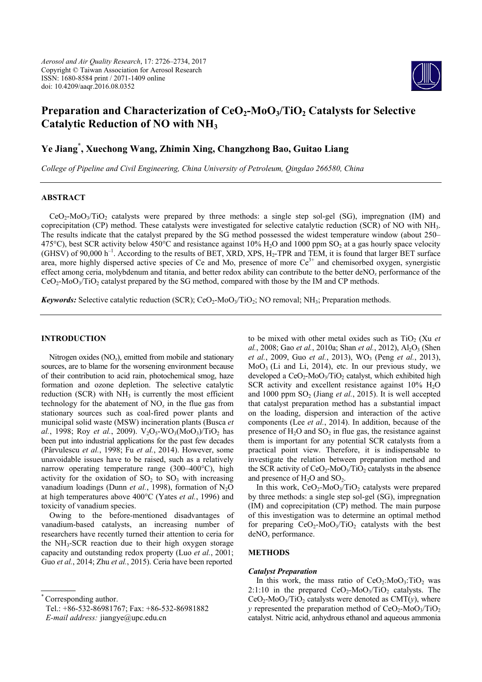

# **Preparation and Characterization of CeO<sub>2</sub>-MoO<sub>3</sub>/TiO<sub>2</sub> Catalysts for Selective Catalytic Reduction of NO with NH3**

# **Ye Jiang\* , Xuechong Wang, Zhimin Xing, Changzhong Bao, Guitao Liang**

*College of Pipeline and Civil Engineering, China University of Petroleum, Qingdao 266580, China* 

# **ABSTRACT**

 $CeO<sub>2</sub>-MO<sub>3</sub>/TiO<sub>2</sub>$  catalysts were prepared by three methods: a single step sol-gel (SG), impregnation (IM) and coprecipitation (CP) method. These catalysts were investigated for selective catalytic reduction (SCR) of NO with NH3. The results indicate that the catalyst prepared by the SG method possessed the widest temperature window (about 250– 475°C), best SCR activity below 450°C and resistance against 10% H<sub>2</sub>O and 1000 ppm SO<sub>2</sub> at a gas hourly space velocity (GHSV) of 90,000 h<sup>-1</sup>. According to the results of BET, XRD, XPS, H<sub>2</sub>-TPR and TEM, it is found that larger BET surface area, more highly dispersed active species of Ce and Mo, presence of more  $Ce<sup>3+</sup>$  and chemisorbed oxygen, synergistic effect among ceria, molybdenum and titania, and better redox ability can contribute to the better deNO*x* performance of the  $CeO<sub>2</sub>-MoO<sub>3</sub>/TiO<sub>2</sub>$  catalyst prepared by the SG method, compared with those by the IM and CP methods.

*Keywords:* Selective catalytic reduction (SCR); CeO<sub>2</sub>-MoO<sub>3</sub>/TiO<sub>2</sub>; NO removal; NH<sub>3</sub>; Preparation methods.

## **INTRODUCTION**

Nitrogen oxides (NO*x*), emitted from mobile and stationary sources, are to blame for the worsening environment because of their contribution to acid rain, photochemical smog, haze formation and ozone depletion. The selective catalytic reduction (SCR) with  $NH<sub>3</sub>$  is currently the most efficient technology for the abatement of  $NO<sub>x</sub>$  in the flue gas from stationary sources such as coal-fired power plants and municipal solid waste (MSW) incineration plants (Busca *et al.*, 1998; Roy *et al.*, 2009).  $V_2O_5-WO_3(M_0O_3)/TiO_2$  has been put into industrial applications for the past few decades (Pârvulescu *et al.*, 1998; Fu *et al.*, 2014). However, some unavoidable issues have to be raised, such as a relatively narrow operating temperature range (300–400°C), high activity for the oxidation of  $SO_2$  to  $SO_3$  with increasing vanadium loadings (Dunn et al., 1998), formation of N<sub>2</sub>O at high temperatures above 400°C (Yates *et al.*, 1996) and toxicity of vanadium species.

Owing to the before-mentioned disadvantages of vanadium-based catalysts, an increasing number of researchers have recently turned their attention to ceria for the  $NH<sub>3</sub>-SCR$  reaction due to their high oxygen storage capacity and outstanding redox property (Luo *et al.*, 2001; Guo *et al.*, 2014; Zhu *et al.*, 2015). Ceria have been reported

Corresponding author.

to be mixed with other metal oxides such as TiO<sub>2</sub> (Xu *et al.*, 2008; Gao *et al.*, 2010a; Shan *et al.*, 2012), Al<sub>2</sub>O<sub>3</sub> (Shen *et al.*, 2009, Guo *et al.*, 2013), WO<sub>3</sub> (Peng *et al.*, 2013),  $MoO<sub>3</sub>$  (Li and Li, 2014), etc. In our previous study, we developed a  $CeO<sub>2</sub>$ -MoO<sub>3</sub>/TiO<sub>2</sub> catalyst, which exhibited high SCR activity and excellent resistance against  $10\%$  H<sub>2</sub>O and  $1000$  ppm  $SO<sub>2</sub>$  (Jiang *et al.*, 2015). It is well accepted that catalyst preparation method has a substantial impact on the loading, dispersion and interaction of the active components (Lee *et al.*, 2014). In addition, because of the presence of  $H_2O$  and  $SO_2$  in flue gas, the resistance against them is important for any potential SCR catalysts from a practical point view. Therefore, it is indispensable to investigate the relation between preparation method and the SCR activity of  $CeO<sub>2</sub>-MoO<sub>3</sub>/TiO<sub>2</sub>$  catalysts in the absence and presence of  $H_2O$  and  $SO_2$ .

In this work,  $CeO<sub>2</sub>-MoO<sub>3</sub>/TiO<sub>2</sub>$  catalysts were prepared by three methods: a single step sol-gel (SG), impregnation (IM) and coprecipitation (CP) method. The main purpose of this investigation was to determine an optimal method for preparing  $CeO<sub>2</sub>-MoO<sub>3</sub>/TiO<sub>2</sub>$  catalysts with the best deNO*x* performance.

## **METHODS**

# *Catalyst Preparation*

In this work, the mass ratio of  $CeO<sub>2</sub>:MoO<sub>3</sub>:TiO<sub>2</sub>$  was 2:1:10 in the prepared  $CeO<sub>2</sub>-MoO<sub>3</sub>/TiO<sub>2</sub>$  catalysts. The  $CeO<sub>2</sub>-MoO<sub>3</sub>/TiO<sub>2</sub>$  catalysts were denoted as  $CMT(y)$ , where *y* represented the preparation method of  $CeO<sub>2</sub>$ -Mo $O<sub>3</sub>/TiO<sub>2</sub>$ catalyst. Nitric acid, anhydrous ethanol and aqueous ammonia

Tel.: +86-532-86981767; Fax: +86-532-86981882 *E-mail address:* jiangye@upc.edu.cn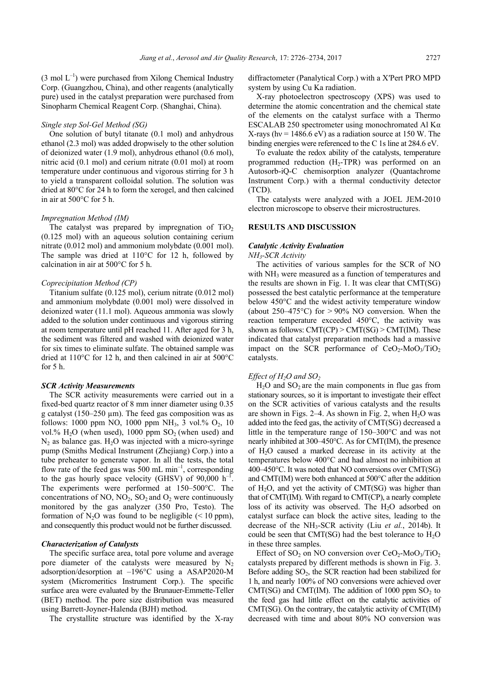$(3 \text{ mol } L^{-1})$  were purchased from Xilong Chemical Industry Corp. (Guangzhou, China), and other reagents (analytically pure) used in the catalyst preparation were purchased from Sinopharm Chemical Reagent Corp. (Shanghai, China).

### *Single step Sol-Gel Method (SG)*

One solution of butyl titanate (0.1 mol) and anhydrous ethanol (2.3 mol) was added dropwisely to the other solution of deionized water (1.9 mol), anhydrous ethanol (0.6 mol), nitric acid (0.1 mol) and cerium nitrate (0.01 mol) at room temperature under continuous and vigorous stirring for 3 h to yield a transparent colloidal solution. The solution was dried at 80°C for 24 h to form the xerogel, and then calcined in air at 500°C for 5 h.

### *Impregnation Method (IM)*

The catalyst was prepared by impregnation of  $TiO<sub>2</sub>$ (0.125 mol) with an aqueous solution containing cerium nitrate (0.012 mol) and ammonium molybdate (0.001 mol). The sample was dried at 110°C for 12 h, followed by calcination in air at 500°C for 5 h.

#### *Coprecipitation Method (CP)*

Titanium sulfate (0.125 mol), cerium nitrate (0.012 mol) and ammonium molybdate (0.001 mol) were dissolved in deionized water (11.1 mol). Aqueous ammonia was slowly added to the solution under continuous and vigorous stirring at room temperature until pH reached 11. After aged for 3 h, the sediment was filtered and washed with deionized water for six times to eliminate sulfate. The obtained sample was dried at 110°C for 12 h, and then calcined in air at 500°C for 5 h.

#### *SCR Activity Measurements*

The SCR activity measurements were carried out in a fixed-bed quartz reactor of 8 mm inner diameter using 0.35 g catalyst (150–250 µm). The feed gas composition was as follows: 1000 ppm NO, 1000 ppm NH<sub>3</sub>, 3 vol.%  $O_2$ , 10 vol.%  $H_2O$  (when used), 1000 ppm  $SO_2$  (when used) and  $N<sub>2</sub>$  as balance gas. H<sub>2</sub>O was injected with a micro-syringe pump (Smiths Medical Instrument (Zhejiang) Corp.) into a tube preheater to generate vapor. In all the tests, the total flow rate of the feed gas was 500 mL min<sup>-1</sup>, corresponding to the gas hourly space velocity (GHSV) of  $90,000$  h<sup>-1</sup>. The experiments were performed at 150–500°C. The concentrations of NO,  $NO<sub>2</sub>$ ,  $SO<sub>2</sub>$  and  $O<sub>2</sub>$  were continuously monitored by the gas analyzer (350 Pro, Testo). The formation of N<sub>2</sub>O was found to be negligible  $(< 10$  ppm), and consequently this product would not be further discussed.

## *Characterization of Catalysts*

The specific surface area, total pore volume and average pore diameter of the catalysts were measured by  $N_2$ adsorption/desorption at –196°C using a ASAP2020-M system (Micromeritics Instrument Corp.). The specific surface area were evaluated by the Brunauer-Emmette-Teller (BET) method. The pore size distribution was measured using Barrett-Joyner-Halenda (BJH) method.

The crystallite structure was identified by the X-ray

diffractometer (Panalytical Corp.) with a X′Pert PRO MPD system by using Cu Ka radiation.

X-ray photoelectron spectroscopy (XPS) was used to determine the atomic concentration and the chemical state of the elements on the catalyst surface with a Thermo ESCALAB 250 spectrometer using monochromated Al Kα X-rays (hy =  $1486.6$  eV) as a radiation source at 150 W. The binding energies were referenced to the C 1s line at 284.6 eV.

To evaluate the redox ability of the catalysts, temperature programmed reduction  $(H_2-TPR)$  was performed on an Autosorb-iQ-C chemisorption analyzer (Quantachrome Instrument Corp.) with a thermal conductivity detector (TCD).

The catalysts were analyzed with a JOEL JEM-2010 electron microscope to observe their microstructures.

## **RESULTS AND DISCUSSION**

#### *Catalytic Activity Evaluation*

*NH3-SCR Activity* 

The activities of various samples for the SCR of NO with  $NH<sub>3</sub>$  were measured as a function of temperatures and the results are shown in Fig. 1. It was clear that CMT(SG) possessed the best catalytic performance at the temperature below 450°C and the widest activity temperature window (about  $250-475$ °C) for  $> 90\%$  NO conversion. When the reaction temperature exceeded 450°C, the activity was shown as follows:  $CMT(CP)$  >  $CMT(SG)$  >  $CMT(IM)$ . These indicated that catalyst preparation methods had a massive impact on the SCR performance of  $CeO<sub>2</sub>-MoO<sub>3</sub>/TiO<sub>2</sub>$ catalysts.

### *Effect of H2O and SO2*

 $H<sub>2</sub>O$  and  $SO<sub>2</sub>$  are the main components in flue gas from stationary sources, so it is important to investigate their effect on the SCR activities of various catalysts and the results are shown in Figs.  $2-4$ . As shown in Fig. 2, when H<sub>2</sub>O was added into the feed gas, the activity of CMT(SG) decreased a little in the temperature range of 150–300°C and was not nearly inhibited at 300–450°C. As for CMT(IM), the presence of H2O caused a marked decrease in its activity at the temperatures below 400°C and had almost no inhibition at 400–450°C. It was noted that NO conversions over CMT(SG) and CMT(IM) were both enhanced at 500°C after the addition of  $H_2O$ , and yet the activity of CMT(SG) was higher than that of CMT(IM). With regard to CMT(CP), a nearly complete loss of its activity was observed. The H<sub>2</sub>O adsorbed on catalyst surface can block the active sites, leading to the decrease of the NH3-SCR activity (Liu *et al.*, 2014b). It could be seen that CMT(SG) had the best tolerance to  $H_2O$ in these three samples.

Effect of  $SO_2$  on NO conversion over  $CeO_2$ -Mo $O_3/TiO_2$ catalysts prepared by different methods is shown in Fig. 3. Before adding  $SO<sub>2</sub>$ , the SCR reaction had been stabilized for 1 h, and nearly 100% of NO conversions were achieved over CMT(SG) and CMT(IM). The addition of 1000 ppm  $SO<sub>2</sub>$  to the feed gas had little effect on the catalytic activities of CMT(SG). On the contrary, the catalytic activity of CMT(IM) decreased with time and about 80% NO conversion was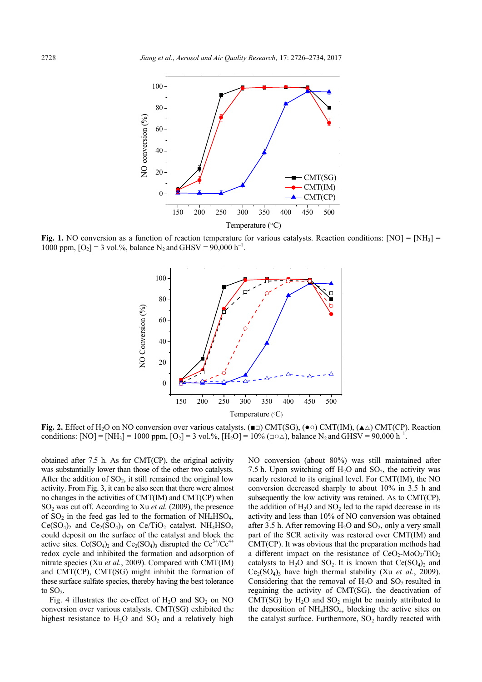

**Fig. 1.** NO conversion as a function of reaction temperature for various catalysts. Reaction conditions:  $[NO] = [NH<sub>3</sub>]$ 1000 ppm,  $[O_2] = 3$  vol.%, balance N<sub>2</sub> and GHSV = 90,000 h<sup>-1</sup>.



**Fig. 2.** Effect of H<sub>2</sub>O on NO conversion over various catalysts. ( $\blacksquare$ ) CMT(SG), ( $\bullet$ °) CMT(IM), ( $\blacktriangle\triangle$ ) CMT(CP). Reaction conditions:  $[NO] = [NH_3] = 1000$  ppm,  $[O_2] = 3$  vol.%,  $[H_2O] = 10\%$  ( $\Box \triangle$ ), balance N<sub>2</sub> and GHSV = 90,000 h<sup>-1</sup>.

obtained after 7.5 h. As for CMT(CP), the original activity was substantially lower than those of the other two catalysts. After the addition of  $SO_2$ , it still remained the original low activity. From Fig. 3, it can be also seen that there were almost no changes in the activities of CMT(IM) and CMT(CP) when SO2 was cut off. According to Xu *et al.* (2009), the presence of  $SO_2$  in the feed gas led to the formation of  $NH_4HSO_4$ ,  $Ce(SO<sub>4</sub>)<sub>2</sub>$  and  $Ce<sub>2</sub>(SO<sub>4</sub>)<sub>3</sub>$  on  $Ce/TiO<sub>2</sub>$  catalyst. NH<sub>4</sub>HSO<sub>4</sub> could deposit on the surface of the catalyst and block the active sites.  $Ce(SO_4)_2$  and  $Ce_2(SO_4)_3$  disrupted the  $Ce^{3+}/Ce^{4+}$ redox cycle and inhibited the formation and adsorption of nitrate species (Xu *et al.*, 2009). Compared with CMT(IM) and CMT(CP), CMT(SG) might inhibit the formation of these surface sulfate species, thereby having the best tolerance to  $SO<sub>2</sub>$ .

Fig. 4 illustrates the co-effect of  $H<sub>2</sub>O$  and  $SO<sub>2</sub>$  on NO conversion over various catalysts. CMT(SG) exhibited the highest resistance to  $H_2O$  and  $SO_2$  and a relatively high NO conversion (about 80%) was still maintained after 7.5 h. Upon switching off  $H_2O$  and  $SO_2$ , the activity was nearly restored to its original level. For CMT(IM), the NO conversion decreased sharply to about 10% in 3.5 h and subsequently the low activity was retained. As to CMT(CP), the addition of  $H_2O$  and  $SO_2$  led to the rapid decrease in its activity and less than 10% of NO conversion was obtained after 3.5 h. After removing  $H_2O$  and  $SO_2$ , only a very small part of the SCR activity was restored over CMT(IM) and CMT(CP). It was obvious that the preparation methods had a different impact on the resistance of  $CeO<sub>2</sub>-MoO<sub>3</sub>/TiO<sub>2</sub>$ catalysts to  $H_2O$  and  $SO_2$ . It is known that  $Ce(SO_4)_2$  and  $Ce<sub>2</sub>(SO<sub>4</sub>)$ <sub>3</sub> have high thermal stability (Xu *et al.*, 2009). Considering that the removal of  $H_2O$  and  $SO_2$  resulted in regaining the activity of CMT(SG), the deactivation of CMT(SG) by  $H_2O$  and  $SO_2$  might be mainly attributed to the deposition of  $NH<sub>4</sub>HSO<sub>4</sub>$ , blocking the active sites on the catalyst surface. Furthermore,  $SO<sub>2</sub>$  hardly reacted with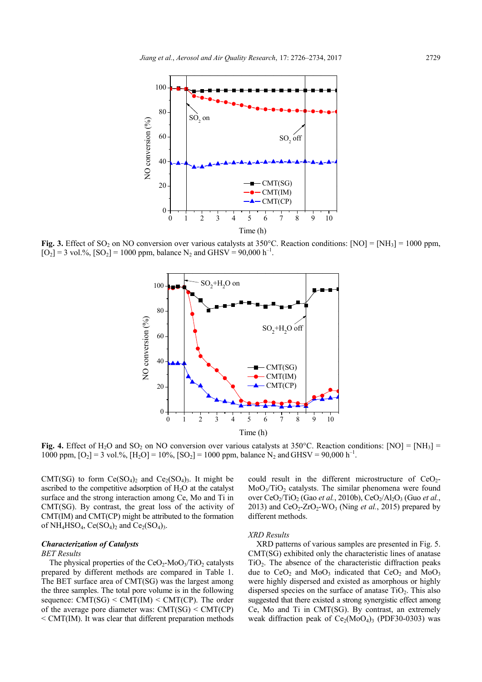

**Fig. 3.** Effect of SO<sub>2</sub> on NO conversion over various catalysts at 350°C. Reaction conditions:  $[NO] = [NH<sub>3</sub>] = 1000$  ppm,  $[O_2] = 3$  vol.%,  $[SO_2] = 1000$  ppm, balance N<sub>2</sub> and GHSV = 90,000 h<sup>-1</sup>.



**Fig. 4.** Effect of H<sub>2</sub>O and SO<sub>2</sub> on NO conversion over various catalysts at 350°C. Reaction conditions:  $[NO] = [NH<sub>3</sub>] =$ 1000 ppm,  $[O_2] = 3$  vol.%,  $[H_2O] = 10\%$ ,  $[SO_2] = 1000$  ppm, balance N<sub>2</sub> and GHSV = 90,000 h<sup>-1</sup>.

CMT(SG) to form  $Ce(SO<sub>4</sub>)<sub>2</sub>$  and  $Ce<sub>2</sub>(SO<sub>4</sub>)<sub>3</sub>$ . It might be ascribed to the competitive adsorption of  $H<sub>2</sub>O$  at the catalyst surface and the strong interaction among Ce, Mo and Ti in CMT(SG). By contrast, the great loss of the activity of CMT(IM) and CMT(CP) might be attributed to the formation of NH<sub>4</sub>HSO<sub>4</sub>, Ce(SO<sub>4</sub>)<sub>2</sub> and Ce<sub>2</sub>(SO<sub>4</sub>)<sub>3</sub>.

#### *Characterization of Catalysts*

#### *BET Results*

The physical properties of the  $CeO<sub>2</sub>-MoO<sub>3</sub>/TiO<sub>2</sub>$  catalysts prepared by different methods are compared in Table 1. The BET surface area of CMT(SG) was the largest among the three samples. The total pore volume is in the following sequence:  $CMT(SG) \leq CMT(IM) \leq CMT(CP)$ . The order of the average pore diameter was:  $CMT(SG) < CMT(CP)$ < CMT(IM). It was clear that different preparation methods could result in the different microstructure of  $CeO<sub>2</sub>$ - $MoO<sub>3</sub>/TiO<sub>2</sub>$  catalysts. The similar phenomena were found over CeO<sub>2</sub>/TiO<sub>2</sub> (Gao *et al.*, 2010b), CeO<sub>2</sub>/Al<sub>2</sub>O<sub>3</sub> (Guo *et al.*, 2013) and  $CeO<sub>2</sub>$ - $ZrO<sub>2</sub>$ -WO<sub>3</sub> (Ning *et al.*, 2015) prepared by different methods.

#### *XRD Results*

XRD patterns of various samples are presented in Fig. 5. CMT(SG) exhibited only the characteristic lines of anatase  $TiO<sub>2</sub>$ . The absence of the characteristic diffraction peaks due to  $CeO<sub>2</sub>$  and  $MoO<sub>3</sub>$  indicated that  $CeO<sub>2</sub>$  and  $MoO<sub>3</sub>$ were highly dispersed and existed as amorphous or highly dispersed species on the surface of anatase  $TiO<sub>2</sub>$ . This also suggested that there existed a strong synergistic effect among Ce, Mo and Ti in CMT(SG). By contrast, an extremely weak diffraction peak of  $Ce_2(MoO_4)$ <sub>3</sub> (PDF30-0303) was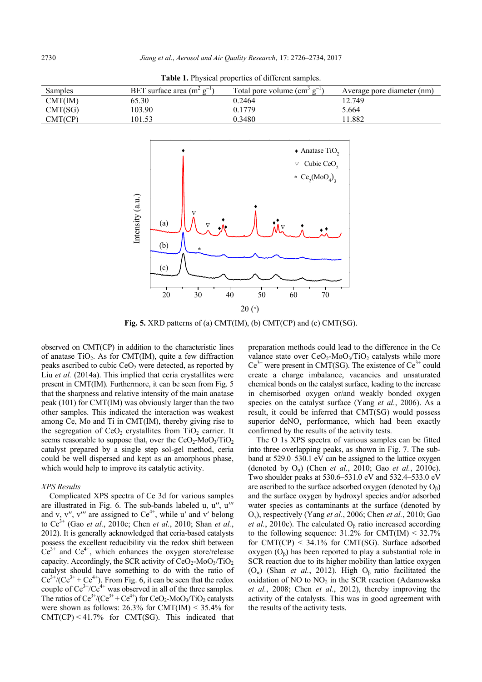| Samples | BET surface area $(m^2 g^{-1})$ | Total pore volume (cm <sup>3</sup><br>$\sigma^{-1}$ | Average pore diameter (nm) |
|---------|---------------------------------|-----------------------------------------------------|----------------------------|
| CMT(IM) | 65.30                           | 0.2464                                              | 12.749                     |
| CMT(SG) | 103.90                          | 0.1779                                              | 5.664                      |
| CMT(CP) | 01.53                           | 0.3480                                              | .882                       |





**Fig. 5.** XRD patterns of (a) CMT(IM), (b) CMT(CP) and (c) CMT(SG).

observed on CMT(CP) in addition to the characteristic lines of anatase  $TiO<sub>2</sub>$ . As for CMT(IM), quite a few diffraction peaks ascribed to cubic  $CeO<sub>2</sub>$  were detected, as reported by Liu *et al.* (2014a). This implied that ceria crystallites were present in CMT(IM). Furthermore, it can be seen from Fig. 5 that the sharpness and relative intensity of the main anatase peak (101) for CMT(IM) was obviously larger than the two other samples. This indicated the interaction was weakest among Ce, Mo and Ti in CMT(IM), thereby giving rise to the segregation of  $CeO<sub>2</sub>$  crystallites from  $TiO<sub>2</sub>$  carrier. It seems reasonable to suppose that, over the  $CeO<sub>2</sub>$ -MoO<sub>3</sub>/TiO<sub>2</sub> catalyst prepared by a single step sol-gel method, ceria could be well dispersed and kept as an amorphous phase, which would help to improve its catalytic activity.

#### *XPS Results*

Complicated XPS spectra of Ce 3d for various samples are illustrated in Fig. 6. The sub-bands labeled u, u′′, u′′′ and v, v'', v''' are assigned to  $Ce<sup>4+</sup>$ , while u' and v' belong to Ce3+ (Gao *et al.*, 2010c; Chen *et al.*, 2010; Shan *et al.*, 2012). It is generally acknowledged that ceria-based catalysts possess the excellent reducibility via the redox shift between  $Ce^{3+}$  and  $Ce^{4+}$ , which enhances the oxygen store/release capacity. Accordingly, the SCR activity of  $CeO<sub>2</sub>$ -MoO<sub>3</sub>/TiO<sub>2</sub> catalyst should have something to do with the ratio of  $Ce^{3+}/(Ce^{3+} + Ce^{4+})$ . From Fig. 6, it can be seen that the redox couple of  $Ce^{3+}/Ce^{4+}$  was observed in all of the three samples. The ratios of  $Ce^{3+}/(Ce^{3+}+ Ce^{4+})$  for  $CeO_2$ -MoO<sub>3</sub>/TiO<sub>2</sub> catalysts were shown as follows: 26.3% for CMT(IM) < 35.4% for  $CMT(CP) < 41.7\%$  for CMT(SG). This indicated that

preparation methods could lead to the difference in the Ce valance state over  $CeO<sub>2</sub>$ -MoO<sub>3</sub>/TiO<sub>2</sub> catalysts while more  $Ce^{3+}$  were present in CMT(SG). The existence of  $Ce^{3+}$  could create a charge imbalance, vacancies and unsaturated chemical bonds on the catalyst surface, leading to the increase in chemisorbed oxygen or/and weakly bonded oxygen species on the catalyst surface (Yang *et al.*, 2006). As a result, it could be inferred that CMT(SG) would possess superior deNO*x* performance, which had been exactly confirmed by the results of the activity tests.

The O 1s XPS spectra of various samples can be fitted into three overlapping peaks, as shown in Fig. 7. The subband at 529.0–530.1 eV can be assigned to the lattice oxygen (denoted by Oα) (Chen *et al.*, 2010; Gao *et al.*, 2010c). Two shoulder peaks at 530.6–531.0 eV and 532.4–533.0 eV are ascribed to the surface adsorbed oxygen (denoted by  $O<sub>β</sub>$ ) and the surface oxygen by hydroxyl species and/or adsorbed water species as contaminants at the surface (denoted by Oγ), respectively (Yang *et al.*, 2006; Chen *et al.*, 2010; Gao *et al.*, 2010c). The calculated  $O_\beta$  ratio increased according to the following sequence:  $31.2\%$  for CMT(IM) <  $32.7\%$ for  $CMT(CP)$  < 34.1% for  $CMT(SG)$ . Surface adsorbed oxygen  $(O_6)$  has been reported to play a substantial role in SCR reaction due to its higher mobility than lattice oxygen ( $O_{\alpha}$ ) (Shan *et al.*, 2012). High  $O_{\beta}$  ratio facilitated the oxidation of NO to  $NO<sub>2</sub>$  in the SCR reaction (Adamowska *et al.*, 2008; Chen *et al.*, 2012), thereby improving the activity of the catalysts. This was in good agreement with the results of the activity tests.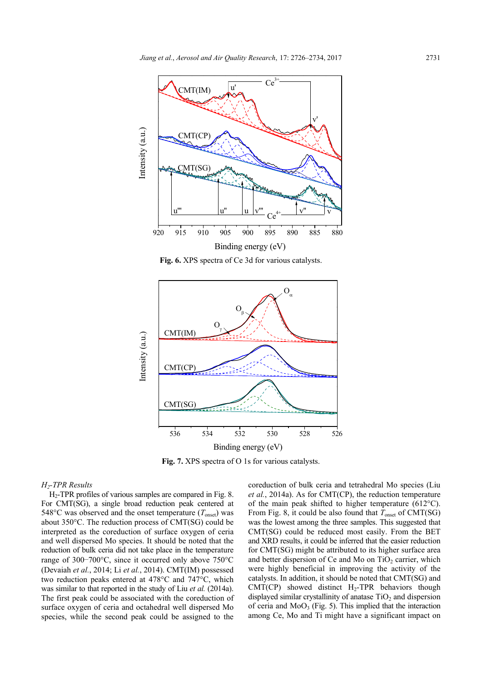

**Fig. 6.** XPS spectra of Ce 3d for various catalysts.



**Fig. 7.** XPS spectra of O 1s for various catalysts.

## *H2-TPR Results*

H2-TPR profiles of various samples are compared in Fig. 8. For CMT(SG), a single broad reduction peak centered at 548 $\degree$ C was observed and the onset temperature ( $T_{onset}$ ) was about 350°C. The reduction process of CMT(SG) could be interpreted as the coreduction of surface oxygen of ceria and well dispersed Mo species. It should be noted that the reduction of bulk ceria did not take place in the temperature range of 300–700°C, since it occurred only above 750°C (Devaiah *et al.*, 2014; Li *et al.*, 2014). CMT(IM) possessed two reduction peaks entered at 478°C and 747°C, which was similar to that reported in the study of Liu *et al.* (2014a). The first peak could be associated with the coreduction of surface oxygen of ceria and octahedral well dispersed Mo species, while the second peak could be assigned to the

coreduction of bulk ceria and tetrahedral Mo species (Liu *et al.*, 2014a). As for CMT(CP), the reduction temperature of the main peak shifted to higher temperature (612°C). From Fig. 8, it could be also found that  $T_{onset}$  of CMT(SG) was the lowest among the three samples. This suggested that CMT(SG) could be reduced most easily. From the BET and XRD results, it could be inferred that the easier reduction for CMT(SG) might be attributed to its higher surface area and better dispersion of Ce and Mo on  $TiO<sub>2</sub>$  carrier, which were highly beneficial in improving the activity of the catalysts. In addition, it should be noted that CMT(SG) and  $CMT(CP)$  showed distinct H<sub>2</sub>-TPR behaviors though displayed similar crystallinity of anatase  $TiO<sub>2</sub>$  and dispersion of ceria and  $MoO<sub>3</sub>$  (Fig. 5). This implied that the interaction among Ce, Mo and Ti might have a significant impact on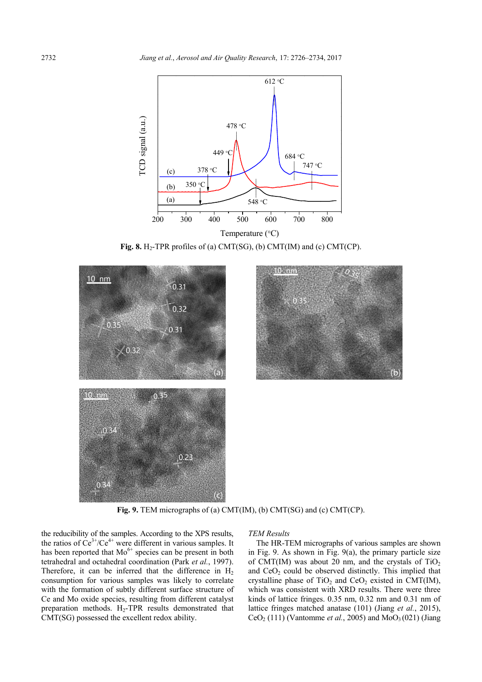

**Fig. 8.** H<sub>2</sub>-TPR profiles of (a) CMT(SG), (b) CMT(IM) and (c) CMT(CP).



**Fig. 9.** TEM micrographs of (a) CMT(IM), (b) CMT(SG) and (c) CMT(CP).

the reducibility of the samples. According to the XPS results, the ratios of  $Ce^{3+}/Ce^{4+}$  were different in various samples. It has been reported that  $Mo^{6+}$  species can be present in both tetrahedral and octahedral coordination (Park *et al.*, 1997). Therefore, it can be inferred that the difference in  $H_2$ consumption for various samples was likely to correlate with the formation of subtly different surface structure of Ce and Mo oxide species, resulting from different catalyst preparation methods.  $H_2$ -TPR results demonstrated that CMT(SG) possessed the excellent redox ability.

#### *TEM Results*

The HR-TEM micrographs of various samples are shown in Fig. 9. As shown in Fig. 9(a), the primary particle size of CMT(IM) was about 20 nm, and the crystals of  $TiO<sub>2</sub>$ and  $CeO<sub>2</sub>$  could be observed distinctly. This implied that crystalline phase of  $TiO<sub>2</sub>$  and  $CeO<sub>2</sub>$  existed in CMT(IM), which was consistent with XRD results. There were three kinds of lattice fringes. 0.35 nm, 0.32 nm and 0.31 nm of lattice fringes matched anatase (101) (Jiang *et al.*, 2015),  $CeO<sub>2</sub>$  (111) (Vantomme *et al.*, 2005) and  $MoO<sub>3</sub>(021)$  (Jiang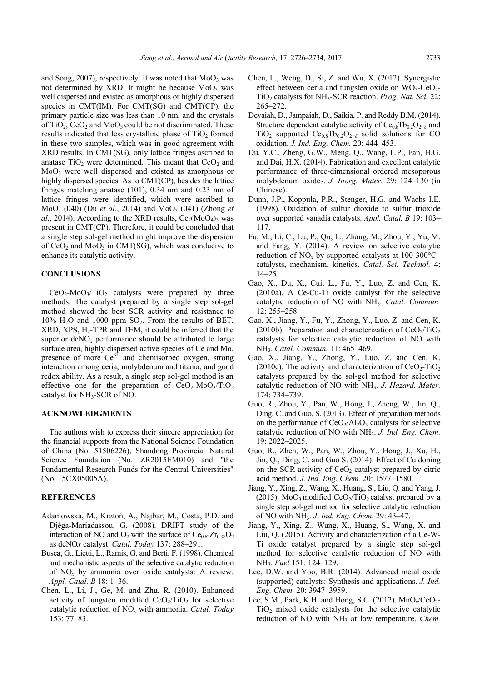and Song,  $2007$ ), respectively. It was noted that  $MoO<sub>3</sub>$  was not determined by XRD. It might be because  $MoO<sub>3</sub>$  was well dispersed and existed as amorphous or highly dispersed species in CMT(IM). For CMT(SG) and CMT(CP), the primary particle size was less than 10 nm, and the crystals of TiO<sub>2</sub>, CeO<sub>2</sub> and MoO<sub>3</sub> could be not discriminated. These results indicated that less crystalline phase of  $TiO<sub>2</sub>$  formed in these two samples, which was in good agreement with XRD results. In CMT(SG), only lattice fringes ascribed to anatase  $TiO<sub>2</sub>$  were determined. This meant that  $CeO<sub>2</sub>$  and MoO3 were well dispersed and existed as amorphous or highly dispersed species. As to CMT(CP), besides the lattice fringes matching anatase (101), 0.34 nm and 0.23 nm of lattice fringes were identified, which were ascribed to MoO<sub>3</sub> (040) (Du *et al.*, 2014) and MoO<sub>3</sub> (041) (Zhong *et al.*, 2014). According to the XRD results,  $Ce_2(M_0O_4)$ <sub>3</sub> was present in CMT(CP). Therefore, it could be concluded that a single step sol-gel method might improve the dispersion of  $CeO<sub>2</sub>$  and  $MoO<sub>3</sub>$  in CMT(SG), which was conducive to enhance its catalytic activity.

## **CONCLUSIONS**

 $CeO<sub>2</sub>-MoO<sub>3</sub>/TiO<sub>2</sub>$  catalysts were prepared by three methods. The catalyst prepared by a single step sol-gel method showed the best SCR activity and resistance to  $10\%$  H<sub>2</sub>O and 1000 ppm SO<sub>2</sub>. From the results of BET,  $XRD$ ,  $XPS$ ,  $H_2$ -TPR and TEM, it could be inferred that the superior  $\text{deNO}_x$  performance should be attributed to large surface area, highly dispersed active species of Ce and Mo, presence of more  $Ce^{3+}$  and chemisorbed oxygen, strong interaction among ceria, molybdenum and titania, and good redox ability. As a result, a single step sol-gel method is an effective one for the preparation of  $CeO<sub>2</sub>-MoO<sub>3</sub>/TiO<sub>2</sub>$ catalyst for NH3-SCR of NO.

## **ACKNOWLEDGMENTS**

The authors wish to express their sincere appreciation for the financial supports from the National Science Foundation of China (No. 51506226), Shandong Provincial Natural Science Foundation (No. ZR2015EM010) and "the Fundamental Research Funds for the Central Universities" (No. 15CX05005A).

## **REFERENCES**

- Adamowska, M., Krztoń, A., Najbar, M., Costa, P.D. and Djéga-Mariadassou, G. (2008). DRIFT study of the interaction of NO and  $O_2$  with the surface of  $Ce<sub>0.62</sub>Zr<sub>0.38</sub>O<sub>2</sub>$ as deNO*x* catalyst. *Catal. Today* 137: 288–291.
- Busca, G., Lietti, L., Ramis, G. and Berti, F. (1998). Chemical and mechanistic aspects of the selective catalytic reduction of NO*x* by ammonia over oxide catalysts: A review. *Appl. Catal. B* 18: 1–36.
- Chen, L., Li, J., Ge, M. and Zhu, R. (2010). Enhanced activity of tungsten modified  $CeO<sub>2</sub>/TiO<sub>2</sub>$  for selective catalytic reduction of NO*x* with ammonia. *Catal. Today*  153: 77–83.
- Chen, L., Weng, D., Si, Z. and Wu, X. (2012). Synergistic effect between ceria and tungsten oxide on  $WO_3$ -CeO<sub>2</sub>-TiO2 catalysts for NH3-SCR reaction. *Prog. Nat. Sci.* 22: 265–272.
- Devaiah, D., Jampaiah, D., Saikia, P. and Reddy B.M. (2014). Structure dependent catalytic activity of  $Ce<sub>0.8</sub>Th<sub>0.2</sub>O<sub>2−*δ*</sub>$  and TiO<sub>2</sub> supported Ce<sub>0.8</sub>Tb<sub>0.2</sub>O<sub>2−*δ*</sub> solid solutions for CO oxidation. *J. Ind. Eng. Chem.* 20: 444–453.
- Du, Y.C., Zheng, G.W., Meng, Q., Wang, L.P., Fan, H.G. and Dai, H.X. (2014). Fabrication and excellent catalytic performance of three-dimensional ordered mesoporous molybdenum oxides. *J. Inorg. Mater.* 29: 124–130 (in Chinese).
- Dunn, J.P., Koppula, P.R., Stenger, H.G. and Wachs I.E. (1998). Oxidation of sulfur dioxide to sulfur trioxide over supported vanadia catalysts. *Appl. Catal. B* 19: 103– 117.
- Fu, M., Li, C., Lu, P., Qu, L., Zhang, M., Zhou, Y., Yu, M. and Fang, Y. (2014). A review on selective catalytic reduction of NO*x* by supported catalysts at 100-300°C– catalysts, mechanism, kinetics. *Catal. Sci. Technol.* 4: 14–25.
- Gao, X., Du, X., Cui, L., Fu, Y., Luo, Z. and Cen, K. (2010a). A Ce-Cu-Ti oxide catalyst for the selective catalytic reduction of NO with NH3. *Catal. Commun.*  12: 255–258.
- Gao, X., Jiang, Y., Fu, Y., Zhong, Y., Luo, Z. and Cen, K. (2010b). Preparation and characterization of  $CeO<sub>2</sub>/TiO<sub>2</sub>$ catalysts for selective catalytic reduction of NO with NH3. *Catal. Commun.* 11: 465–469.
- Gao, X., Jiang, Y., Zhong, Y., Luo, Z. and Cen, K. (2010c). The activity and characterization of  $CeO<sub>2</sub>-TiO<sub>2</sub>$ catalysts prepared by the sol-gel method for selective catalytic reduction of NO with NH3. *J. Hazard. Mater.*  174: 734–739.
- Guo, R., Zhou, Y., Pan, W., Hong, J., Zheng, W., Jin, Q., Ding, C. and Guo, S. (2013). Effect of preparation methods on the performance of  $CeO<sub>2</sub>/Al<sub>2</sub>O<sub>3</sub>$  catalysts for selective catalytic reduction of NO with NH3. *J. Ind. Eng. Chem.*  19: 2022–2025.
- Guo, R., Zhen, W., Pan, W., Zhou, Y., Hong, J., Xu, H., Jin, Q., Ding, C. and Guo S. (2014). Effect of Cu doping on the SCR activity of  $CeO<sub>2</sub>$  catalyst prepared by citric acid method. *J. Ind. Eng. Chem.* 20: 1577–1580.
- Jiang, Y., Xing, Z., Wang, X., Huang, S., Liu, Q. and Yang, J. (2015). MoO<sub>3</sub> modified CeO<sub>2</sub>/TiO<sub>2</sub> catalyst prepared by a single step sol-gel method for selective catalytic reduction of NO with NH3. *J. Ind. Eng. Chem.* 29: 43–47.
- Jiang, Y., Xing, Z., Wang, X., Huang, S., Wang, X. and Liu, Q. (2015). Activity and characterization of a Ce-W-Ti oxide catalyst prepared by a single step sol-gel method for selective catalytic reduction of NO with NH3. *Fuel* 151: 124–129.
- Lee, D.W. and Yoo, B.R. (2014). Advanced metal oxide (supported) catalysts: Synthesis and applications. *J. Ind. Eng. Chem.* 20: 3947–3959.
- Lee, S.M., Park, K.H. and Hong, S.C. (2012). MnO<sub>x</sub>/CeO<sub>2</sub>- $TiO<sub>2</sub>$  mixed oxide catalysts for the selective catalytic reduction of NO with NH<sub>3</sub> at low temperature. *Chem.*